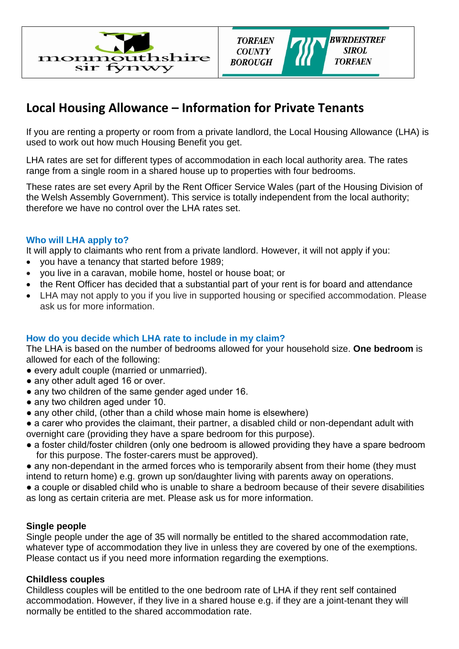



# **Local Housing Allowance – Information for Private Tenants**

If you are renting a property or room from a private landlord, the Local Housing Allowance (LHA) is used to work out how much Housing Benefit you get.

LHA rates are set for different types of accommodation in each local authority area. The rates range from a single room in a shared house up to properties with four bedrooms.

These rates are set every April by the Rent Officer Service Wales (part of the Housing Division of the Welsh Assembly Government). This service is totally independent from the local authority; therefore we have no control over the LHA rates set.

## **Who will LHA apply to?**

It will apply to claimants who rent from a private landlord. However, it will not apply if you:

- you have a tenancy that started before 1989;
- you live in a caravan, mobile home, hostel or house boat; or
- the Rent Officer has decided that a substantial part of your rent is for board and attendance
- LHA may not apply to you if you live in supported housing or specified accommodation. Please ask us for more information.

#### **How do you decide which LHA rate to include in my claim?**

The LHA is based on the number of bedrooms allowed for your household size. **One bedroom** is allowed for each of the following:

- every adult couple (married or unmarried).
- any other adult aged 16 or over.
- any two children of the same gender aged under 16.
- any two children aged under 10.
- any other child, (other than a child whose main home is elsewhere)
- a carer who provides the claimant, their partner, a disabled child or non-dependant adult with overnight care (providing they have a spare bedroom for this purpose).
- a foster child/foster children (only one bedroom is allowed providing they have a spare bedroom for this purpose. The foster-carers must be approved).
- any non-dependant in the armed forces who is temporarily absent from their home (they must intend to return home) e.g. grown up son/daughter living with parents away on operations.
- a couple or disabled child who is unable to share a bedroom because of their severe disabilities as long as certain criteria are met. Please ask us for more information.

#### **Single people**

Single people under the age of 35 will normally be entitled to the shared accommodation rate, whatever type of accommodation they live in unless they are covered by one of the exemptions. Please contact us if you need more information regarding the exemptions.

#### **Childless couples**

Childless couples will be entitled to the one bedroom rate of LHA if they rent self contained accommodation. However, if they live in a shared house e.g. if they are a joint-tenant they will normally be entitled to the shared accommodation rate.